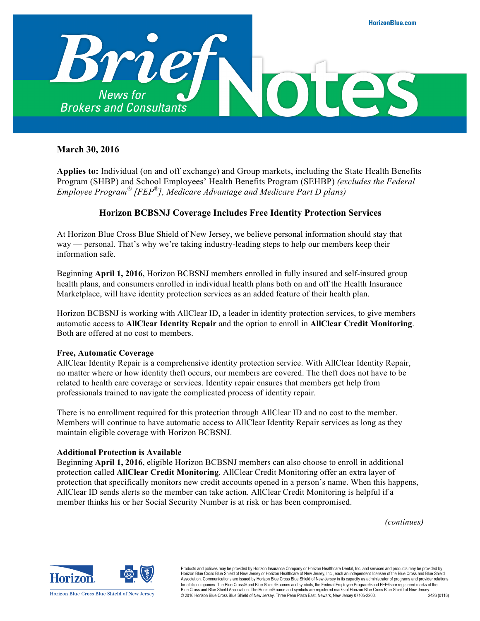

## **March 30, 2016**

**Applies to:** Individual (on and off exchange) and Group markets, including the State Health Benefits Program (SHBP) and School Employees' Health Benefits Program (SEHBP) *(excludes the Federal Employee Program® [FEP®], Medicare Advantage and Medicare Part D plans)*

## **Horizon BCBSNJ Coverage Includes Free Identity Protection Services**

At Horizon Blue Cross Blue Shield of New Jersey, we believe personal information should stay that way — personal. That's why we're taking industry-leading steps to help our members keep their information safe.

Beginning **April 1, 2016**, Horizon BCBSNJ members enrolled in fully insured and self-insured group health plans, and consumers enrolled in individual health plans both on and off the Health Insurance Marketplace, will have identity protection services as an added feature of their health plan.

Horizon BCBSNJ is working with AllClear ID, a leader in identity protection services, to give members automatic access to **AllClear Identity Repair** and the option to enroll in **AllClear Credit Monitoring**. Both are offered at no cost to members.

#### **Free, Automatic Coverage**

AllClear Identity Repair is a comprehensive identity protection service. With AllClear Identity Repair, no matter where or how identity theft occurs, our members are covered. The theft does not have to be related to health care coverage or services. Identity repair ensures that members get help from professionals trained to navigate the complicated process of identity repair.

There is no enrollment required for this protection through AllClear ID and no cost to the member. Members will continue to have automatic access to AllClear Identity Repair services as long as they maintain eligible coverage with Horizon BCBSNJ.

#### **Additional Protection is Available**

Beginning **April 1, 2016**, eligible Horizon BCBSNJ members can also choose to enroll in additional protection called **AllClear Credit Monitoring**. AllClear Credit Monitoring offer an extra layer of protection that specifically monitors new credit accounts opened in a person's name. When this happens, AllClear ID sends alerts so the member can take action. AllClear Credit Monitoring is helpful if a member thinks his or her Social Security Number is at risk or has been compromised.

*[\(continues\)](#page-1-0)*



Products and policies may be provided by Horizon Insurance Company or Horizon Healthcare Dental, Inc. and services and products may be provided by<br>Horizon Blue Cross Blue Shield of New Jersey or Horizon Healthcare of New J Association. Communications are issued by Horizon Blue Cross Blue Shield of New Jersey in its capacity as administrator of programs and provider relations for all its companies. The Blue Cross® and Blue Shield® names and symbols, the Federal Employee Program® and FEP® are registered marks of the<br>Blue Cross and Blue Shield Association. The Horizon® name and symbols are regis © 2016 Horizon Blue Cross Blue Shield of New Jersey. Three Penn Plaza East, Newark, New Jersey 07105-2200. 2426 (0116)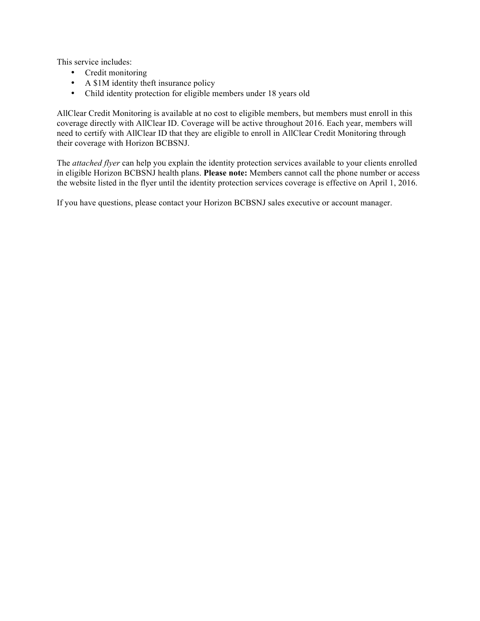<span id="page-1-0"></span>This service includes:

- Credit monitoring
- A \$1M identity theft insurance policy
- Child identity protection for eligible members under 18 years old

AllClear Credit Monitoring is available at no cost to eligible members, but members must enroll in this coverage directly with AllClear ID. Coverage will be active throughout 2016. Each year, members will need to certify with AllClear ID that they are eligible to enroll in AllClear Credit Monitoring through their coverage with Horizon BCBSNJ.

The *[attached flyer](#page-2-0)* can help you explain the identity protection services available to your clients enrolled in eligible Horizon BCBSNJ health plans. **Please note:** Members cannot call the phone number or access the website listed in the flyer until the identity protection services coverage is effective on April 1, 2016.

If you have questions, please contact your Horizon BCBSNJ sales executive or account manager.